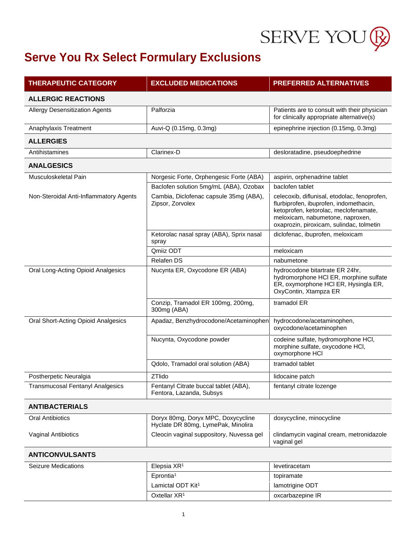

| <b>THERAPEUTIC CATEGORY</b>             | <b>EXCLUDED MEDICATIONS</b>                                              | <b>PREFERRED ALTERNATIVES</b>                                                                                                                                                                                   |
|-----------------------------------------|--------------------------------------------------------------------------|-----------------------------------------------------------------------------------------------------------------------------------------------------------------------------------------------------------------|
| <b>ALLERGIC REACTIONS</b>               |                                                                          |                                                                                                                                                                                                                 |
| <b>Allergy Desensitization Agents</b>   | Palforzia                                                                | Patients are to consult with their physician<br>for clinically appropriate alternative(s)                                                                                                                       |
| Anaphylaxis Treatment                   | Auvi-Q (0.15mg, 0.3mg)                                                   | epinephrine injection (0.15mg, 0.3mg)                                                                                                                                                                           |
| <b>ALLERGIES</b>                        |                                                                          |                                                                                                                                                                                                                 |
| Antihistamines                          | Clarinex-D                                                               | desloratadine, pseudoephedrine                                                                                                                                                                                  |
| <b>ANALGESICS</b>                       |                                                                          |                                                                                                                                                                                                                 |
| Musculoskeletal Pain                    | Norgesic Forte, Orphengesic Forte (ABA)                                  | aspirin, orphenadrine tablet                                                                                                                                                                                    |
|                                         | Baclofen solution 5mg/mL (ABA), Ozobax                                   | baclofen tablet                                                                                                                                                                                                 |
| Non-Steroidal Anti-Inflammatory Agents  | Cambia, Diclofenac capsule 35mg (ABA),<br>Zipsor, Zorvolex               | celecoxib, diflunisal, etodolac, fenoprofen,<br>flurbiprofen, ibuprofen, indomethacin,<br>ketoprofen, ketorolac, meclofenamate,<br>meloxicam, nabumetone, naproxen,<br>oxaprozin, piroxicam, sulindac, tolmetin |
|                                         | Ketorolac nasal spray (ABA), Sprix nasal<br>spray                        | diclofenac, ibuprofen, meloxicam                                                                                                                                                                                |
|                                         | Qmiiz ODT                                                                | meloxicam                                                                                                                                                                                                       |
|                                         | <b>Relafen DS</b>                                                        | nabumetone                                                                                                                                                                                                      |
| Oral Long-Acting Opioid Analgesics      | Nucynta ER, Oxycodone ER (ABA)                                           | hydrocodone bitartrate ER 24hr,<br>hydromorphone HCI ER, morphine sulfate<br>ER, oxymorphone HCI ER, Hysingla ER,<br>OxyContin, Xtampza ER                                                                      |
|                                         | Conzip, Tramadol ER 100mg, 200mg,<br>300mg (ABA)                         | tramadol ER                                                                                                                                                                                                     |
| Oral Short-Acting Opioid Analgesics     | Apadaz, Benzhydrocodone/Acetaminophen                                    | hydrocodone/acetaminophen,<br>oxycodone/acetaminophen                                                                                                                                                           |
|                                         | Nucynta, Oxycodone powder                                                | codeine sulfate, hydromorphone HCI,<br>morphine sulfate, oxycodone HCI,<br>oxymorphone HCI                                                                                                                      |
|                                         | Qdolo, Tramadol oral solution (ABA)                                      | tramadol tablet                                                                                                                                                                                                 |
| Postherpetic Neuralgia                  | ZTlido                                                                   | lidocaine patch                                                                                                                                                                                                 |
| <b>Transmucosal Fentanyl Analgesics</b> | Fentanyl Citrate buccal tablet (ABA),<br>Fentora, Lazanda, Subsys        | fentanyl citrate lozenge                                                                                                                                                                                        |
| <b>ANTIBACTERIALS</b>                   |                                                                          |                                                                                                                                                                                                                 |
| <b>Oral Antibiotics</b>                 | Doryx 80mg, Doryx MPC, Doxycycline<br>Hyclate DR 80mg, LymePak, Minolira | doxycycline, minocycline                                                                                                                                                                                        |
| Vaginal Antibiotics                     | Cleocin vaginal suppository, Nuvessa gel                                 | clindamycin vaginal cream, metronidazole<br>vaginal gel                                                                                                                                                         |
| <b>ANTICONVULSANTS</b>                  |                                                                          |                                                                                                                                                                                                                 |
| <b>Seizure Medications</b>              | Elepsia XR <sup>1</sup>                                                  | levetiracetam                                                                                                                                                                                                   |
|                                         | Eprontia <sup>1</sup>                                                    | topiramate                                                                                                                                                                                                      |
|                                         | Lamictal ODT Kit <sup>1</sup>                                            | lamotrigine ODT                                                                                                                                                                                                 |
|                                         | Oxtellar XR <sup>1</sup>                                                 | oxcarbazepine IR                                                                                                                                                                                                |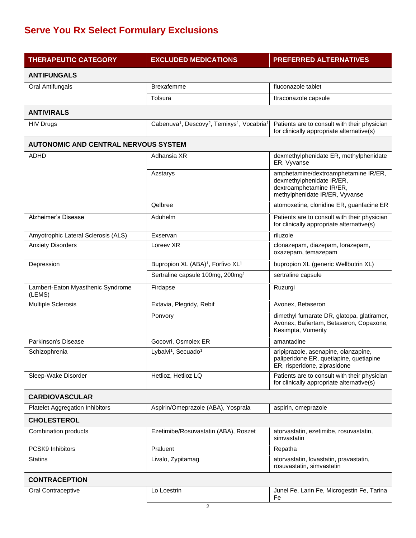| <b>THERAPEUTIC CATEGORY</b>                 | <b>EXCLUDED MEDICATIONS</b>                                                                 | <b>PREFERRED ALTERNATIVES</b>                                                                                                   |
|---------------------------------------------|---------------------------------------------------------------------------------------------|---------------------------------------------------------------------------------------------------------------------------------|
| <b>ANTIFUNGALS</b>                          |                                                                                             |                                                                                                                                 |
| Oral Antifungals                            | <b>Brexafemme</b>                                                                           | fluconazole tablet                                                                                                              |
|                                             | Tolsura                                                                                     | Itraconazole capsule                                                                                                            |
| <b>ANTIVIRALS</b>                           |                                                                                             |                                                                                                                                 |
| <b>HIV Drugs</b>                            | Cabenuva <sup>1</sup> , Descovy <sup>2</sup> , Temixys <sup>1</sup> , Vocabria <sup>1</sup> | Patients are to consult with their physician<br>for clinically appropriate alternative(s)                                       |
| <b>AUTONOMIC AND CENTRAL NERVOUS SYSTEM</b> |                                                                                             |                                                                                                                                 |
| ADHD                                        | Adhansia XR                                                                                 | dexmethylphenidate ER, methylphenidate<br>ER, Vyvanse                                                                           |
|                                             | Azstarys                                                                                    | amphetamine/dextroamphetamine IR/ER,<br>dexmethylphenidate IR/ER,<br>dextroamphetamine IR/ER,<br>methylphenidate IR/ER, Vyvanse |
|                                             | Qelbree                                                                                     | atomoxetine, clonidine ER, guanfacine ER                                                                                        |
| Alzheimer's Disease                         | Aduhelm                                                                                     | Patients are to consult with their physician<br>for clinically appropriate alternative(s)                                       |
| Amyotrophic Lateral Sclerosis (ALS)         | Exservan                                                                                    | riluzole                                                                                                                        |
| <b>Anxiety Disorders</b>                    | Loreev XR                                                                                   | clonazepam, diazepam, lorazepam,<br>oxazepam, temazepam                                                                         |
| Depression                                  | Bupropion XL (ABA) <sup>1</sup> , Forfivo XL <sup>1</sup>                                   | bupropion XL (generic Wellbutrin XL)                                                                                            |
|                                             | Sertraline capsule 100mg, 200mg <sup>1</sup>                                                | sertraline capsule                                                                                                              |
| Lambert-Eaton Myasthenic Syndrome<br>(LEMS) | Firdapse                                                                                    | Ruzurgi                                                                                                                         |
| <b>Multiple Sclerosis</b>                   | Extavia, Plegridy, Rebif                                                                    | Avonex, Betaseron                                                                                                               |
|                                             | Ponvory                                                                                     | dimethyl fumarate DR, glatopa, glatiramer,<br>Avonex, Bafiertam, Betaseron, Copaxone,<br>Kesimpta, Vumerity                     |
| Parkinson's Disease                         | Gocovri, Osmolex ER                                                                         | amantadine                                                                                                                      |
| Schizophrenia                               | Lybalvi <sup>1</sup> , Secuado <sup>1</sup>                                                 | aripiprazole, asenapine, olanzapine,<br>paliperidone ER, quetiapine, quetiapine<br>ER, risperidone, ziprasidone                 |
| Sleep-Wake Disorder                         | Hetlioz, Hetlioz LQ                                                                         | Patients are to consult with their physician<br>for clinically appropriate alternative(s)                                       |
| <b>CARDIOVASCULAR</b>                       |                                                                                             |                                                                                                                                 |
| <b>Platelet Aggregation Inhibitors</b>      | Aspirin/Omeprazole (ABA), Yosprala                                                          | aspirin, omeprazole                                                                                                             |
| <b>CHOLESTEROL</b>                          |                                                                                             |                                                                                                                                 |
| Combination products                        | Ezetimibe/Rosuvastatin (ABA), Roszet                                                        | atorvastatin, ezetimibe, rosuvastatin,<br>simvastatin                                                                           |
| PCSK9 Inhibitors                            | Praluent                                                                                    | Repatha                                                                                                                         |
| <b>Statins</b>                              | Livalo, Zypitamag                                                                           | atorvastatin, lovastatin, pravastatin,<br>rosuvastatin, simvastatin                                                             |
| <b>CONTRACEPTION</b>                        |                                                                                             |                                                                                                                                 |
| Oral Contraceptive                          | Lo Loestrin                                                                                 | Junel Fe, Larin Fe, Microgestin Fe, Tarina<br>Fe                                                                                |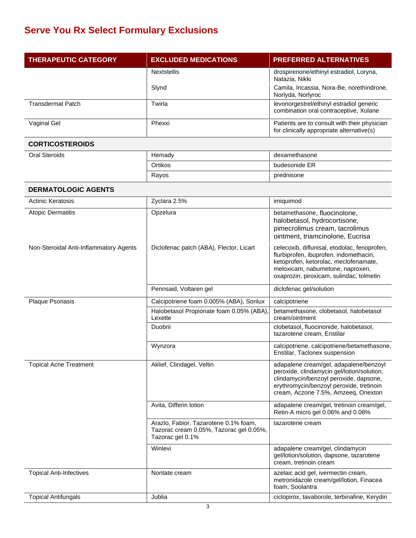| <b>THERAPEUTIC CATEGORY</b>            | <b>EXCLUDED MEDICATIONS</b>                                                                          | <b>PREFERRED ALTERNATIVES</b>                                                                                                                                                                                     |
|----------------------------------------|------------------------------------------------------------------------------------------------------|-------------------------------------------------------------------------------------------------------------------------------------------------------------------------------------------------------------------|
|                                        | <b>Nextstellis</b>                                                                                   | drospirenone/ethinyl estradiol, Loryna,<br>Natazia, Nikki                                                                                                                                                         |
|                                        | Slynd                                                                                                | Camila, Incassia, Nora-Be, norethindrone,<br>Norlyda, Norlyroc                                                                                                                                                    |
| <b>Transdermal Patch</b>               | Twirla                                                                                               | levonorgestrel/ethinyl estradiol generic<br>combination oral contraceptive, Xulane                                                                                                                                |
| Vaginal Gel                            | Phexxi                                                                                               | Patients are to consult with their physician<br>for clinically appropriate alternative(s)                                                                                                                         |
| <b>CORTICOSTEROIDS</b>                 |                                                                                                      |                                                                                                                                                                                                                   |
| <b>Oral Steroids</b>                   | Hemady                                                                                               | dexamethasone                                                                                                                                                                                                     |
|                                        | Ortikos                                                                                              | budesonide ER                                                                                                                                                                                                     |
|                                        | Rayos                                                                                                | prednisone                                                                                                                                                                                                        |
| <b>DERMATOLOGIC AGENTS</b>             |                                                                                                      |                                                                                                                                                                                                                   |
| <b>Actinic Keratosis</b>               | Zyclara 2.5%                                                                                         | imiquimod                                                                                                                                                                                                         |
| <b>Atopic Dermatitis</b>               | Opzelura                                                                                             | betamethasone, fluocinolone,<br>halobetasol, hydrocortisone,<br>pimecrolimus cream, tacrolimus<br>ointment, triamcinolone, Eucrisa                                                                                |
| Non-Steroidal Anti-Inflammatory Agents | Diclofenac patch (ABA), Flector, Licart                                                              | celecoxib, diflunisal, etodolac, fenoprofen,<br>flurbiprofen, ibuprofen, indomethacin,<br>ketoprofen, ketorolac, meclofenamate,<br>meloxicam, nabumetone, naproxen,<br>oxaprozin, piroxicam, sulindac, tolmetin   |
|                                        | Pennsaid, Voltaren gel                                                                               | diclofenac gel/solution                                                                                                                                                                                           |
| Plaque Psoriasis                       | Calcipotriene foam 0.005% (ABA), Sorilux                                                             | calcipotriene                                                                                                                                                                                                     |
|                                        | Halobetasol Propionate foam 0.05% (ABA),<br>Lexette                                                  | betamethasone, clobetasol, halobetasol<br>cream/ointment                                                                                                                                                          |
|                                        | Duobrii                                                                                              | clobetasol, fluocinonide, halobetasol,<br>tazarotene cream, Enstilar                                                                                                                                              |
|                                        | Wynzora                                                                                              | calcipotriene, calcipotriene/betamethasone,<br>Enstilar, Taclonex suspension                                                                                                                                      |
| <b>Topical Acne Treatment</b>          | Aklief, Clindagel, Veltin                                                                            | adapalene cream/gel, adapalene/benzoyl<br>peroxide, clindamycin gel/lotion/solution,<br>clindamycin/benzoyl peroxide, dapsone,<br>erythromycin/benzoyl peroxide, tretinoin<br>cream, Aczone 7.5%, Amzeeg, Onexton |
|                                        | Avita, Differin lotion                                                                               | adapalene cream/gel, tretinoin cream/gel,<br>Retin-A micro gel 0.06% and 0.08%                                                                                                                                    |
|                                        | Arazlo, Fabior, Tazarotene 0.1% foam,<br>Tazorac cream 0.05%, Tazorac gel 0.05%,<br>Tazorac gel 0.1% | tazarotene cream                                                                                                                                                                                                  |
|                                        | Winlevi                                                                                              | adapalene cream/gel, clindamycin<br>gel/lotion/solution, dapsone, tazarotene<br>cream, tretinoin cream                                                                                                            |
| <b>Topical Anti-Infectives</b>         | Noritate cream                                                                                       | azelaic acid gel, ivermectin cream,<br>metronidazole cream/gel/lotion, Finacea<br>foam, Soolantra                                                                                                                 |
| <b>Topical Antifungals</b>             | Jublia                                                                                               | ciclopirox, tavaborole, terbinafine, Kerydin                                                                                                                                                                      |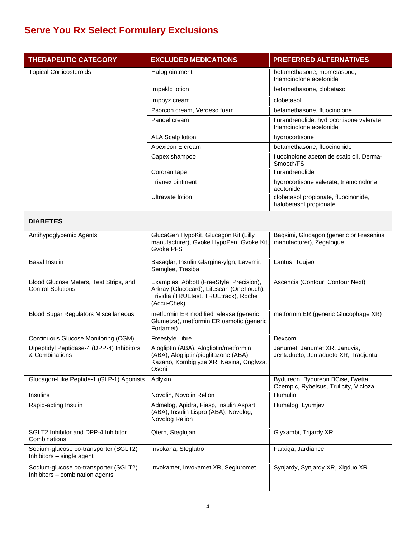| <b>THERAPEUTIC CATEGORY</b>                                              | <b>EXCLUDED MEDICATIONS</b>                                                                                                                  | <b>PREFERRED ALTERNATIVES</b>                                              |
|--------------------------------------------------------------------------|----------------------------------------------------------------------------------------------------------------------------------------------|----------------------------------------------------------------------------|
| <b>Topical Corticosteroids</b>                                           | Halog ointment                                                                                                                               | betamethasone, mometasone,<br>triamcinolone acetonide                      |
|                                                                          | Impeklo lotion                                                                                                                               | betamethasone, clobetasol                                                  |
|                                                                          | Impoyz cream                                                                                                                                 | clobetasol                                                                 |
|                                                                          | Psorcon cream, Verdeso foam                                                                                                                  | betamethasone, fluocinolone                                                |
|                                                                          | Pandel cream                                                                                                                                 | flurandrenolide, hydrocortisone valerate,<br>triamcinolone acetonide       |
|                                                                          | <b>ALA Scalp lotion</b>                                                                                                                      | hydrocortisone                                                             |
|                                                                          | Apexicon E cream                                                                                                                             | betamethasone, fluocinonide                                                |
|                                                                          | Capex shampoo                                                                                                                                | fluocinolone acetonide scalp oil, Derma-<br>Smooth/FS                      |
|                                                                          | Cordran tape                                                                                                                                 | flurandrenolide                                                            |
|                                                                          | Trianex ointment                                                                                                                             | hydrocortisone valerate, triamcinolone<br>acetonide                        |
|                                                                          | Ultravate lotion                                                                                                                             | clobetasol propionate, fluocinonide,<br>halobetasol propionate             |
| <b>DIABETES</b>                                                          |                                                                                                                                              |                                                                            |
| Antihypoglycemic Agents                                                  | GlucaGen HypoKit, Glucagon Kit (Lilly<br>manufacturer), Gvoke HypoPen, Gvoke Kit,<br>Gvoke PFS                                               | Baqsimi, Glucagon (generic or Fresenius<br>manufacturer), Zegalogue        |
| <b>Basal Insulin</b>                                                     | Basaglar, Insulin Glargine-yfgn, Levemir,<br>Semglee, Tresiba                                                                                | Lantus, Toujeo                                                             |
| Blood Glucose Meters, Test Strips, and<br><b>Control Solutions</b>       | Examples: Abbott (FreeStyle, Precision),<br>Arkray (Glucocard), Lifescan (OneTouch),<br>Trividia (TRUEtest, TRUEtrack), Roche<br>(Accu-Chek) | Ascencia (Contour, Contour Next)                                           |
| <b>Blood Sugar Regulators Miscellaneous</b>                              | metformin ER modified release (generic<br>Glumetza), metformin ER osmotic (generic<br>Fortamet)                                              | metformin ER (generic Glucophage XR)                                       |
| <b>Continuous Glucose Monitoring (CGM)</b>                               | Freestyle Libre                                                                                                                              | Dexcom                                                                     |
| Dipeptidyl Peptidase-4 (DPP-4) Inhibitors<br>& Combinations              | Alogliptin (ABA), Alogliptin/metformin<br>(ABA), Alogliptin/pioglitazone (ABA),<br>Kazano, Kombiglyze XR, Nesina, Onglyza,<br>Oseni          | Janumet, Janumet XR, Januvia,<br>Jentadueto, Jentadueto XR, Tradjenta      |
| Glucagon-Like Peptide-1 (GLP-1) Agonists                                 | Adlyxin                                                                                                                                      | Bydureon, Bydureon BCise, Byetta,<br>Ozempic, Rybelsus, Trulicity, Victoza |
| Insulins                                                                 | Novolin, Novolin Relion                                                                                                                      | Humulin                                                                    |
| Rapid-acting Insulin                                                     | Admelog, Apidra, Fiasp, Insulin Aspart<br>(ABA), Insulin Lispro (ABA), Novolog,<br>Novolog Relion                                            | Humalog, Lyumjev                                                           |
| SGLT2 Inhibitor and DPP-4 Inhibitor<br>Combinations                      | Qtern, Steglujan                                                                                                                             | Glyxambi, Trijardy XR                                                      |
| Sodium-glucose co-transporter (SGLT2)<br>Inhibitors - single agent       | Invokana, Steglatro                                                                                                                          | Farxiga, Jardiance                                                         |
| Sodium-glucose co-transporter (SGLT2)<br>Inhibitors - combination agents | Invokamet, Invokamet XR, Segluromet                                                                                                          | Synjardy, Synjardy XR, Xigduo XR                                           |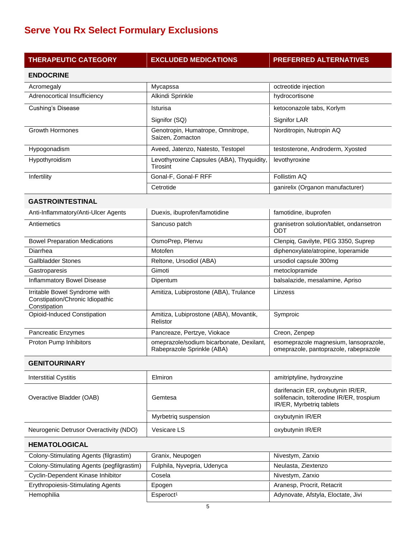| <b>THERAPEUTIC CATEGORY</b>                                                      | <b>EXCLUDED MEDICATIONS</b>                                            | <b>PREFERRED ALTERNATIVES</b>                                                                             |
|----------------------------------------------------------------------------------|------------------------------------------------------------------------|-----------------------------------------------------------------------------------------------------------|
| <b>ENDOCRINE</b>                                                                 |                                                                        |                                                                                                           |
| Acromegaly                                                                       | Mycapssa                                                               | octreotide injection                                                                                      |
| Adrenocortical Insufficiency                                                     | Alkindi Sprinkle                                                       | hydrocortisone                                                                                            |
| Cushing's Disease                                                                | Isturisa                                                               | ketoconazole tabs, Korlym                                                                                 |
|                                                                                  | Signifor (SQ)                                                          | Signifor LAR                                                                                              |
| <b>Growth Hormones</b>                                                           | Genotropin, Humatrope, Omnitrope,<br>Saizen, Zomacton                  | Norditropin, Nutropin AQ                                                                                  |
| Hypogonadism                                                                     | Aveed, Jatenzo, Natesto, Testopel                                      | testosterone, Androderm, Xyosted                                                                          |
| Hypothyroidism                                                                   | Levothyroxine Capsules (ABA), Thyquidity,<br>Tirosint                  | levothyroxine                                                                                             |
| Infertility                                                                      | Gonal-F, Gonal-F RFF                                                   | Follistim AQ                                                                                              |
|                                                                                  | Cetrotide                                                              | ganirelix (Organon manufacturer)                                                                          |
| <b>GASTROINTESTINAL</b>                                                          |                                                                        |                                                                                                           |
| Anti-Inflammatory/Anti-Ulcer Agents                                              | Duexis, ibuprofen/famotidine                                           | famotidine, ibuprofen                                                                                     |
| Antiemetics                                                                      | Sancuso patch                                                          | granisetron solution/tablet, ondansetron<br>ODT                                                           |
| <b>Bowel Preparation Medications</b>                                             | OsmoPrep, Plenvu                                                       | Clenpiq, Gavilyte, PEG 3350, Suprep                                                                       |
| Diarrhea                                                                         | Motofen                                                                | diphenoxylate/atropine, loperamide                                                                        |
| <b>Gallbladder Stones</b>                                                        | Reltone, Ursodiol (ABA)                                                | ursodiol capsule 300mg                                                                                    |
| Gastroparesis                                                                    | Gimoti                                                                 | metoclopramide                                                                                            |
| <b>Inflammatory Bowel Disease</b>                                                | Dipentum                                                               | balsalazide, mesalamine, Apriso                                                                           |
| Irritable Bowel Syndrome with<br>Constipation/Chronic Idiopathic<br>Constipation | Amitiza, Lubiprostone (ABA), Trulance                                  | Linzess                                                                                                   |
| Opioid-Induced Constipation                                                      | Amitiza, Lubiprostone (ABA), Movantik,<br>Relistor                     | Symproic                                                                                                  |
| Pancreatic Enzymes                                                               | Pancreaze, Pertzye, Viokace                                            | Creon, Zenpep                                                                                             |
| Proton Pump Inhibitors                                                           | omeprazole/sodium bicarbonate, Dexilant,<br>Rabeprazole Sprinkle (ABA) | esomeprazole magnesium, lansoprazole,<br>omeprazole, pantoprazole, rabeprazole                            |
| <b>GENITOURINARY</b>                                                             |                                                                        |                                                                                                           |
| <b>Interstitial Cystitis</b>                                                     | Elmiron                                                                | amitriptyline, hydroxyzine                                                                                |
| Overactive Bladder (OAB)                                                         | Gemtesa                                                                | darifenacin ER, oxybutynin IR/ER,<br>solifenacin, tolterodine IR/ER, trospium<br>IR/ER, Myrbetriq tablets |
|                                                                                  | Myrbetriq suspension                                                   | oxybutynin IR/ER                                                                                          |
| Neurogenic Detrusor Overactivity (NDO)                                           | Vesicare LS                                                            | oxybutynin IR/ER                                                                                          |
| <b>HEMATOLOGICAL</b>                                                             |                                                                        |                                                                                                           |
| Colony-Stimulating Agents (filgrastim)                                           | Granix, Neupogen                                                       | Nivestym, Zarxio                                                                                          |

| Colony-Stimulating Agents (filgrastim)    | Granix, Neupogen            | Nivestym, Zarxio                   |
|-------------------------------------------|-----------------------------|------------------------------------|
| Colony-Stimulating Agents (pegfilgrastim) | Fulphila, Nyvepria, Udenyca | Neulasta, Ziextenzo                |
| Cyclin-Dependent Kinase Inhibitor         | Cosela                      | Nivestym, Zarxio                   |
| Erythropoiesis-Stimulating Agents         | Epogen                      | Aranesp, Procrit, Retacrit         |
| Hemophilia                                | Esperoct <sup>1</sup>       | Adynovate, Afstyla, Eloctate, Jivi |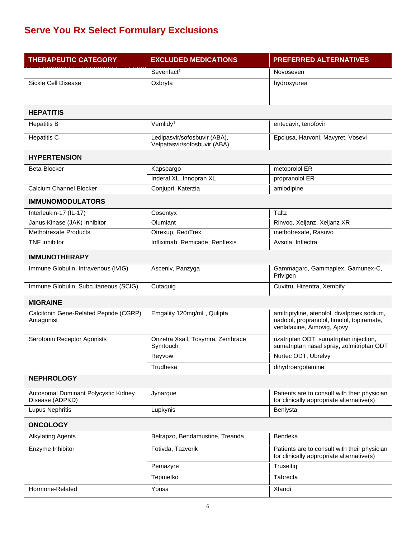| <b>THERAPEUTIC CATEGORY</b>                             | <b>EXCLUDED MEDICATIONS</b>                                  | <b>PREFERRED ALTERNATIVES</b>                                                                                            |
|---------------------------------------------------------|--------------------------------------------------------------|--------------------------------------------------------------------------------------------------------------------------|
|                                                         | Sevenfact <sup>1</sup>                                       | Novoseven                                                                                                                |
| Sickle Cell Disease                                     | Oxbryta                                                      | hydroxyurea                                                                                                              |
|                                                         |                                                              |                                                                                                                          |
| <b>HEPATITIS</b>                                        |                                                              |                                                                                                                          |
| <b>Hepatitis B</b>                                      | Vemlidy <sup>1</sup>                                         | entecavir, tenofovir                                                                                                     |
| <b>Hepatitis C</b>                                      | Ledipasvir/sofosbuvir (ABA),<br>Velpatasvir/sofosbuvir (ABA) | Epclusa, Harvoni, Mavyret, Vosevi                                                                                        |
| <b>HYPERTENSION</b>                                     |                                                              |                                                                                                                          |
| Beta-Blocker                                            | Kapspargo                                                    | metoprolol ER                                                                                                            |
|                                                         | Inderal XL, Innopran XL                                      | propranolol ER                                                                                                           |
| Calcium Channel Blocker                                 | Conjupri, Katerzia                                           | amlodipine                                                                                                               |
| <b>IMMUNOMODULATORS</b>                                 |                                                              |                                                                                                                          |
| Interleukin-17 (IL-17)                                  | Cosentyx                                                     | Taltz                                                                                                                    |
| Janus Kinase (JAK) Inhibitor                            | Olumiant                                                     | Rinvog, Xeljanz, Xeljanz XR                                                                                              |
| <b>Methotrexate Products</b>                            | Otrexup, RediTrex                                            | methotrexate, Rasuvo                                                                                                     |
| <b>TNF</b> inhibitor                                    | Infliximab, Remicade, Renflexis                              | Avsola, Inflectra                                                                                                        |
| <b>IMMUNOTHERAPY</b>                                    |                                                              |                                                                                                                          |
| Immune Globulin, Intravenous (IVIG)                     | Asceniv, Panzyga                                             | Gammagard, Gammaplex, Gamunex-C,<br>Privigen                                                                             |
| Immune Globulin, Subcutaneous (SCIG)                    | Cutaquig                                                     | Cuvitru, Hizentra, Xembify                                                                                               |
| <b>MIGRAINE</b>                                         |                                                              |                                                                                                                          |
| Calcitonin Gene-Related Peptide (CGRP)<br>Antagonist    | Emgality 120mg/mL, Qulipta                                   | amitriptyline, atenolol, divalproex sodium,<br>nadolol, propranolol, timolol, topiramate,<br>venlafaxine, Aimovig, Ajovy |
| Serotonin Receptor Agonists                             | Onzetra Xsail, Tosymra, Zembrace<br>Symtouch                 | rizatriptan ODT, sumatriptan injection,<br>sumatriptan nasal spray, zolmitriptan ODT                                     |
|                                                         | Reyvow                                                       | Nurtec ODT, Ubrelvy                                                                                                      |
|                                                         | Trudhesa                                                     | dihydroergotamine                                                                                                        |
| <b>NEPHROLOGY</b>                                       |                                                              |                                                                                                                          |
| Autosomal Dominant Polycystic Kidney<br>Disease (ADPKD) | Jynarque                                                     | Patients are to consult with their physician<br>for clinically appropriate alternative(s)                                |
| Lupus Nephritis                                         | Lupkynis                                                     | Benlysta                                                                                                                 |
| <b>ONCOLOGY</b>                                         |                                                              |                                                                                                                          |
| <b>Alkylating Agents</b>                                | Belrapzo, Bendamustine, Treanda                              | Bendeka                                                                                                                  |
| Enzyme Inhibitor                                        | Fotivda, Tazverik                                            | Patients are to consult with their physician<br>for clinically appropriate alternative(s)                                |
|                                                         | Pemazyre                                                     | Truseltiq                                                                                                                |
|                                                         | Tepmetko                                                     | Tabrecta                                                                                                                 |
| Hormone-Related                                         | Yonsa                                                        | Xtandi                                                                                                                   |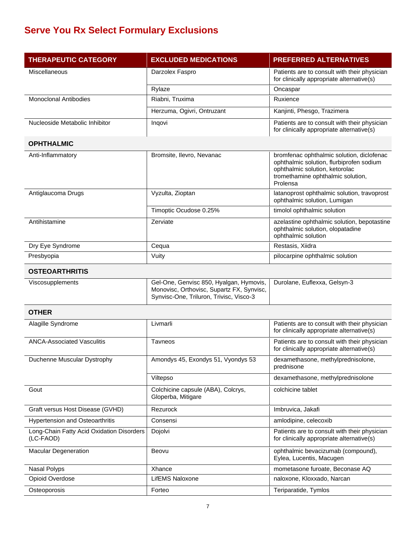| <b>THERAPEUTIC CATEGORY</b>                            | <b>EXCLUDED MEDICATIONS</b>                                                                                                     | PREFERRED ALTERNATIVES                                                                                                                                                   |
|--------------------------------------------------------|---------------------------------------------------------------------------------------------------------------------------------|--------------------------------------------------------------------------------------------------------------------------------------------------------------------------|
| Miscellaneous                                          | Darzolex Faspro                                                                                                                 | Patients are to consult with their physician<br>for clinically appropriate alternative(s)                                                                                |
|                                                        | Rylaze                                                                                                                          | Oncaspar                                                                                                                                                                 |
| <b>Monoclonal Antibodies</b>                           | Riabni, Truxima                                                                                                                 | Ruxience                                                                                                                                                                 |
|                                                        | Herzuma, Ogivri, Ontruzant                                                                                                      | Kanjinti, Phesgo, Trazimera                                                                                                                                              |
| Nucleoside Metabolic Inhibitor                         | Ingovi                                                                                                                          | Patients are to consult with their physician<br>for clinically appropriate alternative(s)                                                                                |
| <b>OPHTHALMIC</b>                                      |                                                                                                                                 |                                                                                                                                                                          |
| Anti-Inflammatory                                      | Bromsite, Ilevro, Nevanac                                                                                                       | bromfenac ophthalmic solution, diclofenac<br>ophthalmic solution, flurbiprofen sodium<br>ophthalmic solution, ketorolac<br>tromethamine ophthalmic solution,<br>Prolensa |
| Antiglaucoma Drugs                                     | Vyzulta, Zioptan                                                                                                                | latanoprost ophthalmic solution, travoprost<br>ophthalmic solution, Lumigan                                                                                              |
|                                                        | Timoptic Ocudose 0.25%                                                                                                          | timolol ophthalmic solution                                                                                                                                              |
| Antihistamine                                          | Zerviate                                                                                                                        | azelastine ophthalmic solution, bepotastine<br>ophthalmic solution, olopatadine<br>ophthalmic solution                                                                   |
| Dry Eye Syndrome                                       | Cequa                                                                                                                           | Restasis, Xiidra                                                                                                                                                         |
| Presbyopia                                             | Vuity                                                                                                                           | pilocarpine ophthalmic solution                                                                                                                                          |
| <b>OSTEOARTHRITIS</b>                                  |                                                                                                                                 |                                                                                                                                                                          |
| Viscosupplements                                       | Gel-One, Genvisc 850, Hyalgan, Hymovis,<br>Monovisc, Orthovisc, Supartz FX, Synvisc,<br>Synvisc-One, Triluron, Trivisc, Visco-3 | Durolane, Euflexxa, Gelsyn-3                                                                                                                                             |
| <b>OTHER</b>                                           |                                                                                                                                 |                                                                                                                                                                          |
| Alagille Syndrome                                      | Livmarli                                                                                                                        | Patients are to consult with their physician<br>for clinically appropriate alternative(s)                                                                                |
| <b>ANCA-Associated Vasculitis</b>                      | <b>Tavneos</b>                                                                                                                  | Patients are to consult with their physician<br>for clinically appropriate alternative(s)                                                                                |
| Duchenne Muscular Dystrophy                            | Amondys 45, Exondys 51, Vyondys 53                                                                                              | dexamethasone, methylprednisolone,<br>prednisone                                                                                                                         |
|                                                        | Viltepso                                                                                                                        | dexamethasone, methylprednisolone                                                                                                                                        |
| Gout                                                   | Colchicine capsule (ABA), Colcrys,<br>Gloperba, Mitigare                                                                        | colchicine tablet                                                                                                                                                        |
| Graft versus Host Disease (GVHD)                       | Rezurock                                                                                                                        | Imbruvica, Jakafi                                                                                                                                                        |
| <b>Hypertension and Osteoarthritis</b>                 | Consensi                                                                                                                        | amlodipine, celecoxib                                                                                                                                                    |
| Long-Chain Fatty Acid Oxidation Disorders<br>(LC-FAOD) | Dojolvi                                                                                                                         | Patients are to consult with their physician<br>for clinically appropriate alternative(s)                                                                                |
| Macular Degeneration                                   | Beovu                                                                                                                           | ophthalmic bevacizumab (compound),<br>Eylea, Lucentis, Macugen                                                                                                           |
| Nasal Polyps                                           | Xhance                                                                                                                          | mometasone furoate, Beconase AQ                                                                                                                                          |
| Opioid Overdose                                        | LifEMS Naloxone                                                                                                                 | naloxone, Kloxxado, Narcan                                                                                                                                               |
| Osteoporosis                                           | Forteo                                                                                                                          | Teriparatide, Tymlos                                                                                                                                                     |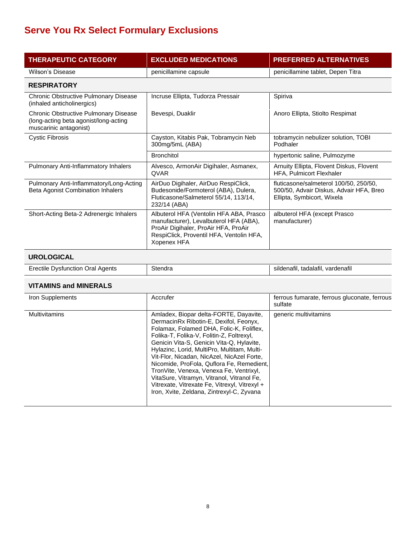| <b>THERAPEUTIC CATEGORY</b>                                                                              | <b>EXCLUDED MEDICATIONS</b>                                                                                                                                                          | <b>PREFERRED ALTERNATIVES</b>                                                                                   |
|----------------------------------------------------------------------------------------------------------|--------------------------------------------------------------------------------------------------------------------------------------------------------------------------------------|-----------------------------------------------------------------------------------------------------------------|
| Wilson's Disease                                                                                         | penicillamine capsule                                                                                                                                                                | penicillamine tablet, Depen Titra                                                                               |
| <b>RESPIRATORY</b>                                                                                       |                                                                                                                                                                                      |                                                                                                                 |
| Chronic Obstructive Pulmonary Disease<br>(inhaled anticholinergics)                                      | Incruse Ellipta, Tudorza Pressair                                                                                                                                                    | Spiriva                                                                                                         |
| Chronic Obstructive Pulmonary Disease<br>(long-acting beta agonist/long-acting<br>muscarinic antagonist) | Bevespi, Duaklir                                                                                                                                                                     | Anoro Ellipta, Stiolto Respimat                                                                                 |
| <b>Cystic Fibrosis</b>                                                                                   | Cayston, Kitabis Pak, Tobramycin Neb<br>300mg/5mL (ABA)                                                                                                                              | tobramycin nebulizer solution, TOBI<br>Podhaler                                                                 |
|                                                                                                          | <b>Bronchitol</b>                                                                                                                                                                    | hypertonic saline, Pulmozyme                                                                                    |
| Pulmonary Anti-Inflammatory Inhalers                                                                     | Alvesco, ArmonAir Digihaler, Asmanex,<br><b>QVAR</b>                                                                                                                                 | Arnuity Ellipta, Flovent Diskus, Flovent<br>HFA, Pulmicort Flexhaler                                            |
| Pulmonary Anti-Inflammatory/Long-Acting<br>Beta Agonist Combination Inhalers                             | AirDuo Digihaler, AirDuo RespiClick,<br>Budesonide/Formoterol (ABA), Dulera,<br>Fluticasone/Salmeterol 55/14, 113/14,<br>232/14 (ABA)                                                | fluticasone/salmeterol 100/50, 250/50,<br>500/50, Advair Diskus, Advair HFA, Breo<br>Ellipta, Symbicort, Wixela |
| Short-Acting Beta-2 Adrenergic Inhalers                                                                  | Albuterol HFA (Ventolin HFA ABA, Prasco<br>manufacturer), Levalbuterol HFA (ABA),<br>ProAir Digihaler, ProAir HFA, ProAir<br>RespiClick, Proventil HFA, Ventolin HFA,<br>Xopenex HFA | albuterol HFA (except Prasco<br>manufacturer)                                                                   |
|                                                                                                          |                                                                                                                                                                                      |                                                                                                                 |

#### **UROLOGICAL**

| Erectile<br><b>Oral Agents</b><br>Dystunction | Stendra | tadalatil<br>sildenafil.<br>vardenatil |
|-----------------------------------------------|---------|----------------------------------------|
|                                               |         |                                        |

#### **VITAMINS and MINERALS**

| Iron Supplements     | Accrufer                                                                                                                                                                                                                                                                                                                                                                                                                                                                                                                                                | ferrous fumarate, ferrous gluconate, ferrous<br>sulfate |
|----------------------|---------------------------------------------------------------------------------------------------------------------------------------------------------------------------------------------------------------------------------------------------------------------------------------------------------------------------------------------------------------------------------------------------------------------------------------------------------------------------------------------------------------------------------------------------------|---------------------------------------------------------|
| <b>Multivitamins</b> | Amladex, Biopar delta-FORTE, Dayavite,<br>DermacinRx Ribotin-E, Dexifol, Feonyx,<br>Folamax, Folamed DHA, Folic-K, Foliflex,<br>Folika-T, Folika-V, Folitin-Z, Foltrexyl,<br>Genicin Vita-S, Genicin Vita-Q, Hylavite,<br>Hylazinc, Lorid, MultiPro, Multitam, Multi-<br>Vit-Flor, Nicadan, NicAzel, NicAzel Forte,<br>Nicomide, ProFola, Quflora Fe, Remedient,<br>TronVite, Venexa, Venexa Fe, Ventrixyl,<br>VitaSure, Vitramyn, Vitranol, Vitranol Fe,<br>Vitrexate, Vitrexate Fe, Vitrexyl, Vitrexyl +<br>Iron, Xvite, Zeldana, Zintrexyl-C, Zyvana | generic multivitamins                                   |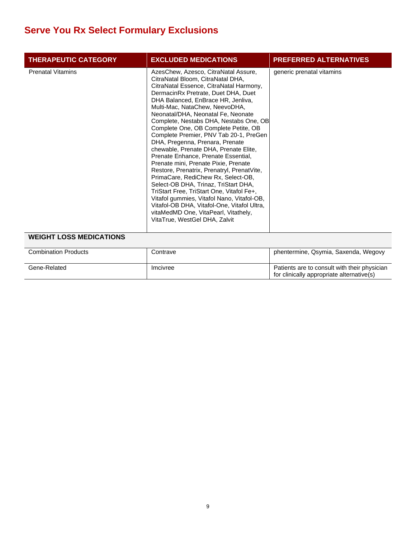| <b>THERAPEUTIC CATEGORY</b>                                | <b>EXCLUDED MEDICATIONS</b>                                                                                                                                                                                                                                                                                                                                                                                                                                                                                                                                                                                                                                                                                                                                                                                                                                                                                     | <b>PREFERRED ALTERNATIVES</b>                                                             |
|------------------------------------------------------------|-----------------------------------------------------------------------------------------------------------------------------------------------------------------------------------------------------------------------------------------------------------------------------------------------------------------------------------------------------------------------------------------------------------------------------------------------------------------------------------------------------------------------------------------------------------------------------------------------------------------------------------------------------------------------------------------------------------------------------------------------------------------------------------------------------------------------------------------------------------------------------------------------------------------|-------------------------------------------------------------------------------------------|
| <b>Prenatal Vitamins</b><br><b>WEIGHT LOSS MEDICATIONS</b> | AzesChew, Azesco, CitraNatal Assure,<br>CitraNatal Bloom, CitraNatal DHA,<br>CitraNatal Essence, CitraNatal Harmony,<br>DermacinRx Pretrate, Duet DHA, Duet<br>DHA Balanced, EnBrace HR, Jenliva,<br>Multi-Mac, NataChew, NeevoDHA,<br>Neonatal/DHA, Neonatal Fe, Neonate<br>Complete, Nestabs DHA, Nestabs One, OB<br>Complete One, OB Complete Petite, OB<br>Complete Premier, PNV Tab 20-1, PreGen<br>DHA, Pregenna, Prenara, Prenate<br>chewable, Prenate DHA, Prenate Elite,<br>Prenate Enhance, Prenate Essential,<br>Prenate mini, Prenate Pixie, Prenate<br>Restore, Prenatrix, Prenatryl, PrenatVite,<br>PrimaCare, RediChew Rx, Select-OB,<br>Select-OB DHA, Trinaz, TriStart DHA,<br>TriStart Free, TriStart One, Vitafol Fe+,<br>Vitafol gummies, Vitafol Nano, Vitafol-OB,<br>Vitafol-OB DHA, Vitafol-One, Vitafol Ultra,<br>vitaMedMD One, VitaPearl, Vitathely,<br>VitaTrue, WestGel DHA, Zalvit | generic prenatal vitamins                                                                 |
|                                                            |                                                                                                                                                                                                                                                                                                                                                                                                                                                                                                                                                                                                                                                                                                                                                                                                                                                                                                                 |                                                                                           |
| <b>Combination Products</b>                                | Contrave                                                                                                                                                                                                                                                                                                                                                                                                                                                                                                                                                                                                                                                                                                                                                                                                                                                                                                        | phentermine, Qsymia, Saxenda, Wegovy                                                      |
| Gene-Related                                               | Imcivree                                                                                                                                                                                                                                                                                                                                                                                                                                                                                                                                                                                                                                                                                                                                                                                                                                                                                                        | Patients are to consult with their physician<br>for clinically appropriate alternative(s) |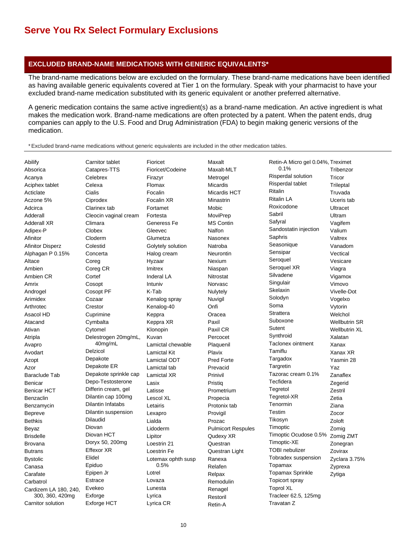#### **EXCLUDED BRAND-NAME MEDICATIONS WITH GENERIC EQUIVALENTS\***

The brand-name medications below are excluded on the formulary. These brand-name medications have been identified as having available generic equivalents covered at Tier 1 on the formulary. Speak with your pharmacist to have your excluded brand-name medication substituted with its generic equivalent or another preferred alternative.

A generic medication contains the same active ingredient(s) as a brand-name medication. An active ingredient is what makes the medication work. Brand-name medications are often protected by a patent. When the patent ends, drug companies can apply to the U.S. Food and Drug Administration (FDA) to begin making generic versions of the medication.

\* Excluded brand-name medications without generic equivalents are included in the other medication tables.

| Abilify                 | Carnitor tablet          | Fioricet            | Maxalt                    | Retin-A Micro gel 0.04%, Treximet |                      |
|-------------------------|--------------------------|---------------------|---------------------------|-----------------------------------|----------------------|
| Absorica                | Catapres-TTS             | Fioricet/Codeine    | Maxalt-MLT                | 0.1%                              | Tribenzor            |
| Acanya                  | Celebrex                 | Firazyr             | Metrogel                  | Risperdal solution                | Tricor               |
| Aciphex tablet          | Celexa                   | Flomax              | Micardis                  | Risperdal tablet                  | Trileptal            |
| Acticlate               | Cialis                   | Focalin             | Micardis HCT              | Ritalin                           | Truvada              |
| Aczone 5%               | Ciprodex                 | Focalin XR          | Minastrin                 | <b>Ritalin LA</b>                 | Uceris tab           |
| Adcirca                 | Clarinex tab             | Fortamet            | Mobic                     | Roxicodone                        | Ultracet             |
| Adderall                | Cleocin vaginal cream    | Fortesta            | MoviPrep                  | Sabril                            | Ultram               |
| <b>Adderall XR</b>      | Climara                  | Generess Fe         | <b>MS Contin</b>          | Safyral                           | Vagifem              |
| Adipex-P                | Clobex                   | Gleevec             | Nalfon                    | Sandostatin injection             | Valium               |
| Afinitor                | Cloderm                  | Glumetza            | Nasonex                   | Saphris                           | Valtrex              |
| <b>Afinitor Disperz</b> | Colestid                 | Golytely solution   | Natroba                   | Seasonique                        | Vanadom              |
| Alphagan P 0.15%        | Concerta                 | Halog cream         | Neurontin                 | Sensipar                          | Vectical             |
| Altace                  | Coreg                    | Hyzaar              | Nexium                    | Seroquel                          | Vesicare             |
| Ambien                  | Coreg CR                 | Imitrex             | Niaspan                   | Seroquel XR                       | Viagra               |
| Ambien CR               | Cortef                   | Inderal LA          | Nitrostat                 | Silvadene                         | Vigamox              |
| Amrix                   | Cosopt                   | Intuniv             | Norvasc                   | Singulair                         | Vimovo               |
| Androgel                | Cosopt PF                | K-Tab               | Nulytely                  | Skelaxin                          | Vivelle-Dot          |
| Arimidex                | Cozaar                   | Kenalog spray       | Nuvigil                   | Solodyn                           | Vogelxo              |
| Arthrotec               | Crestor                  | Kenalog-40          | Onfi                      | Soma                              | Vytorin              |
| Asacol HD               | Cuprimine                | Keppra              | Oracea                    | Strattera                         | Welchol              |
| Atacand                 | Cymbalta                 | Keppra XR           | Paxil                     | Suboxone                          | <b>Wellbutrin SR</b> |
| Ativan                  | Cytomel                  | Klonopin            | Paxil CR                  | Sutent                            | <b>Wellbutrin XL</b> |
| Atripla                 | Delestrogen 20mg/mL,     | Kuvan               | Percocet                  | Synthroid                         | Xalatan              |
| Avapro                  | 40mg/mL                  | Lamictal chewable   | Plaquenil                 | Taclonex ointment                 | Xanax                |
| Avodart                 | Delzicol                 | <b>Lamictal Kit</b> | Plavix                    | Tamiflu                           | Xanax XR             |
| Azopt                   | Depakote                 | Lamictal ODT        | <b>Pred Forte</b>         | Targadox                          | Yasmin 28            |
| Azor                    | Depakote ER              | Lamictal tab        | Prevacid                  | Targretin                         | Yaz                  |
| <b>Baraclude Tab</b>    | Depakote sprinkle cap    | Lamictal XR         | Prinivil                  | Tazorac cream 0.1%                | Zanaflex             |
| Benicar                 | Depo-Testosterone        | Lasix               | Pristig                   | Tecfidera                         | Zegerid              |
| <b>Benicar HCT</b>      | Differin cream, gel      | Latisse             | Prometrium                | Tegretol                          | Zestril              |
| Benzaclin               | Dilantin cap 100mg       | Lescol XL           | Propecia                  | Tegretol-XR                       | Zetia                |
| Benzamycin              | <b>Dilantin Infatabs</b> | Letairis            | Protonix tab              | Tenormin                          | Ziana                |
| <b>Bepreve</b>          | Dilantin suspension      | Lexapro             | Provigil                  | Testim                            | Zocor                |
| <b>Bethkis</b>          | <b>Dilaudid</b>          | Lialda              | Prozac                    | Tikosyn                           | Zoloft               |
| Beyaz                   | Diovan                   | Lidoderm            | <b>Pulmicort Respules</b> | Timoptic                          | Zomig                |
| <b>Brisdelle</b>        | Diovan HCT               | Lipitor             | Qudexy XR                 | Timoptic Ocudose 0.5%             | Zomig ZMT            |
| <b>Brovana</b>          | Doryx 50, 200mg          | Loestrin 21         | Questran                  | Timoptic-XE                       | Zonegran             |
| <b>Butrans</b>          | <b>Effexor XR</b>        | Loestrin Fe         | Questran Light            | <b>TOBI</b> nebulizer             | Zovirax              |
| <b>Bystolic</b>         | Elidel                   | Lotemax ophth susp  | Ranexa                    | Tobradex suspension               | Zyclara 3.75%        |
| Canasa                  | Epiduo                   | 0.5%                | Relafen                   | Topamax                           | Zyprexa              |
| Carafate                | Epipen Jr                | Lotrel              | Relpax                    | <b>Topamax Sprinkle</b>           | Zytiga               |
| Carbatrol               | Estrace                  | Lovaza              | Remodulin                 | Topicort spray                    |                      |
| Cardizem LA 180, 240,   | Evekeo                   | Lunesta             | Renagel                   | <b>Toprol XL</b>                  |                      |
| 300, 360, 420mg         | Exforge                  | Lyrica              | Restoril                  | Tracleer 62.5, 125mg              |                      |
| Carnitor solution       |                          |                     |                           |                                   |                      |